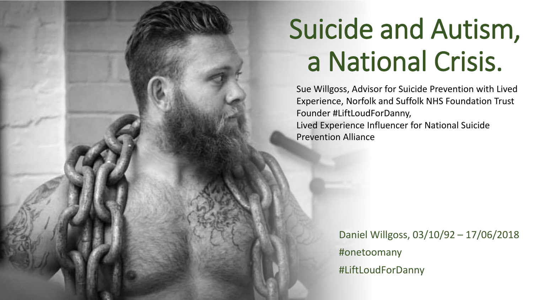## Suicide and Autism, a National Crisis.

Sue Willgoss, Advisor for Suicide Prevention with Lived Experience, Norfolk and Suffolk NHS Foundation Trust Founder #LiftLoudForDanny, Lived Experience Influencer for National Suicide Prevention Alliance

> Daniel Willgoss, 03/10/92 – 17/06/2018 #onetoomany #LiftLoudForDanny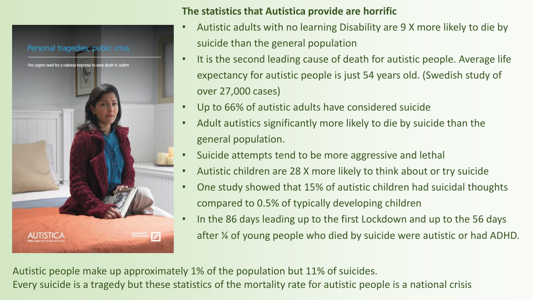

### **The statistics that Autistica provide are horrific**

- Autistic adults with no learning Disability are 9 X more likely to die by suicide than the general population
- It is the second leading cause of death for autistic people. Average life expectancy for autistic people is just 54 years old. (Swedish study of over 27,000 cases)
- Up to 66% of autistic adults have considered suicide
- Adult autistics significantly more likely to die by suicide than the general population.
- Suicide attempts tend to be more aggressive and lethal
- Autistic children are 28 X more likely to think about or try suicide
- One study showed that 15% of autistic children had suicidal thoughts compared to 0.5% of typically developing children
- In the 86 days leading up to the first Lockdown and up to the 56 days after ¼ of young people who died by suicide were autistic or had ADHD.

Autistic people make up approximately 1% of the population but 11% of suicides. Every suicide is a tragedy but these statistics of the mortality rate for autistic people is a national crisis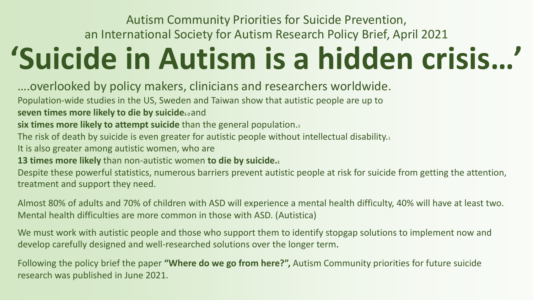### Autism Community Priorities for Suicide Prevention, an International Society for Autism Research Policy Brief, April 2021

# **'Suicide in Autism is a hidden crisis…'**

….overlooked by policy makers, clinicians and researchers worldwide.

Population-wide studies in the US, Sweden and Taiwan show that autistic people are up to

#### **seven times more likely to die by suicide1-2** and

**six times more likely to attempt suicide** than the general population.<sup>3</sup>

The risk of death by suicide is even greater for autistic people without intellectual disability.<sup>1</sup>

It is also greater among autistic women, who are

**13 times more likely** than non-autistic women **to die by suicide.<sup>1</sup>**

Despite these powerful statistics, numerous barriers prevent autistic people at risk for suicide from getting the attention, treatment and support they need.

Almost 80% of adults and 70% of children with ASD will experience a mental health difficulty, 40% will have at least two. Mental health difficulties are more common in those with ASD. (Autistica)

We must work with autistic people and those who support them to identify stopgap solutions to implement now and develop carefully designed and well-researched solutions over the longer term.

Following the policy brief the paper **"Where do we go from here?",** Autism Community priorities for future suicide research was published in June 2021.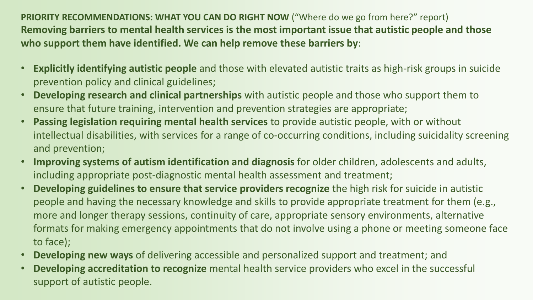**PRIORITY RECOMMENDATIONS: WHAT YOU CAN DO RIGHT NOW** ("Where do we go from here?" report) **Removing barriers to mental health services is the most important issue that autistic people and those who support them have identified. We can help remove these barriers by**:

- **Explicitly identifying autistic people** and those with elevated autistic traits as high-risk groups in suicide prevention policy and clinical guidelines;
- **Developing research and clinical partnerships** with autistic people and those who support them to ensure that future training, intervention and prevention strategies are appropriate;
- **Passing legislation requiring mental health services** to provide autistic people, with or without intellectual disabilities, with services for a range of co-occurring conditions, including suicidality screening and prevention;
- **Improving systems of autism identification and diagnosis** for older children, adolescents and adults, including appropriate post-diagnostic mental health assessment and treatment;
- **Developing guidelines to ensure that service providers recognize** the high risk for suicide in autistic people and having the necessary knowledge and skills to provide appropriate treatment for them (e.g., more and longer therapy sessions, continuity of care, appropriate sensory environments, alternative formats for making emergency appointments that do not involve using a phone or meeting someone face to face);
- **Developing new ways** of delivering accessible and personalized support and treatment; and
- **Developing accreditation to recognize** mental health service providers who excel in the successful support of autistic people.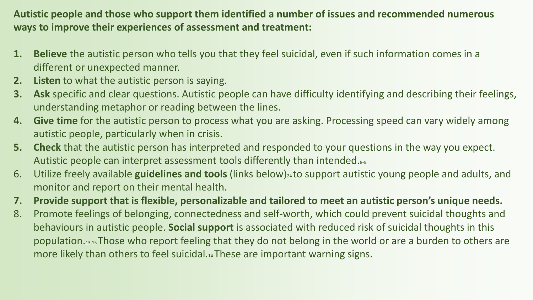**Autistic people and those who support them identified a number of issues and recommended numerous ways to improve their experiences of assessment and treatment:**

- **1. Believe** the autistic person who tells you that they feel suicidal, even if such information comes in a different or unexpected manner.
- **2. Listen** to what the autistic person is saying.
- **3. Ask** specific and clear questions. Autistic people can have difficulty identifying and describing their feelings, understanding metaphor or reading between the lines.
- **4. Give time** for the autistic person to process what you are asking. Processing speed can vary widely among autistic people, particularly when in crisis.
- **5. Check** that the autistic person has interpreted and responded to your questions in the way you expect. Autistic people can interpret assessment tools differently than intended.8-9
- 6. Utilize freely available **guidelines and tools** (links below)24 to support autistic young people and adults, and monitor and report on their mental health.
- **7. Provide support that is flexible, personalizable and tailored to meet an autistic person's unique needs.**
- 8. Promote feelings of belonging, connectedness and self-worth, which could prevent suicidal thoughts and behaviours in autistic people. **Social support** is associated with reduced risk of suicidal thoughts in this population.13,15 Those who report feeling that they do not belong in the world or are a burden to others are more likely than others to feel suicidal.14 These are important warning signs.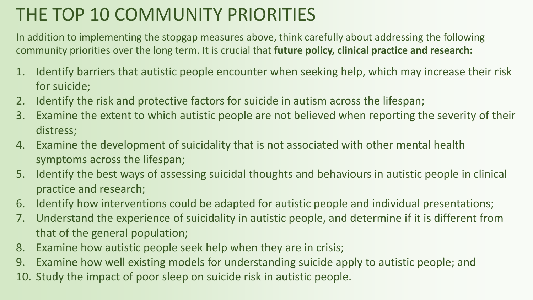### THE TOP 10 COMMUNITY PRIORITIES

In addition to implementing the stopgap measures above, think carefully about addressing the following community priorities over the long term. It is crucial that **future policy, clinical practice and research:**

- 1. Identify barriers that autistic people encounter when seeking help, which may increase their risk for suicide;
- 2. Identify the risk and protective factors for suicide in autism across the lifespan;
- 3. Examine the extent to which autistic people are not believed when reporting the severity of their distress;
- 4. Examine the development of suicidality that is not associated with other mental health symptoms across the lifespan;
- 5. Identify the best ways of assessing suicidal thoughts and behaviours in autistic people in clinical practice and research;
- 6. Identify how interventions could be adapted for autistic people and individual presentations;
- 7. Understand the experience of suicidality in autistic people, and determine if it is different from that of the general population;
- 8. Examine how autistic people seek help when they are in crisis;
- 9. Examine how well existing models for understanding suicide apply to autistic people; and
- 10. Study the impact of poor sleep on suicide risk in autistic people.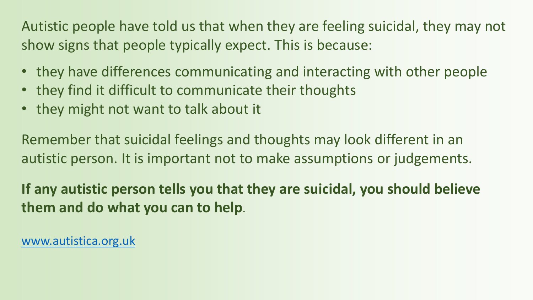Autistic people have told us that when they are feeling suicidal, they may not show signs that people typically expect. This is because:

- they have differences communicating and interacting with other people
- they find it difficult to communicate their thoughts
- they might not want to talk about it

Remember that suicidal feelings and thoughts may look different in an autistic person. It is important not to make assumptions or judgements.

**If any autistic person tells you that they are suicidal, you should believe them and do what you can to help**.

[www.autistica.org.uk](http://www.autistica.org.uk/)